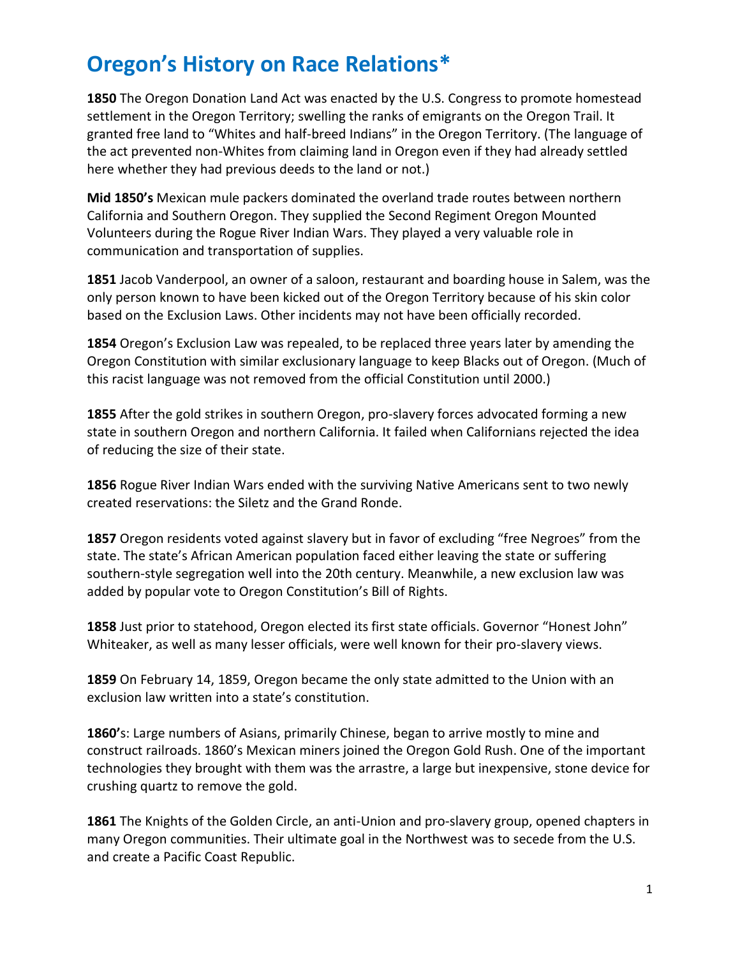## **Oregon's History on Race Relations\***

**1850** The Oregon Donation Land Act was enacted by the U.S. Congress to promote homestead settlement in the Oregon Territory; swelling the ranks of emigrants on the Oregon Trail. It granted free land to "Whites and half-breed Indians" in the Oregon Territory. (The language of the act prevented non-Whites from claiming land in Oregon even if they had already settled here whether they had previous deeds to the land or not.)

**Mid 1850's** Mexican mule packers dominated the overland trade routes between northern California and Southern Oregon. They supplied the Second Regiment Oregon Mounted Volunteers during the Rogue River Indian Wars. They played a very valuable role in communication and transportation of supplies.

**1851** Jacob Vanderpool, an owner of a saloon, restaurant and boarding house in Salem, was the only person known to have been kicked out of the Oregon Territory because of his skin color based on the Exclusion Laws. Other incidents may not have been officially recorded.

**1854** Oregon's Exclusion Law was repealed, to be replaced three years later by amending the Oregon Constitution with similar exclusionary language to keep Blacks out of Oregon. (Much of this racist language was not removed from the official Constitution until 2000.)

**1855** After the gold strikes in southern Oregon, pro-slavery forces advocated forming a new state in southern Oregon and northern California. It failed when Californians rejected the idea of reducing the size of their state.

**1856** Rogue River Indian Wars ended with the surviving Native Americans sent to two newly created reservations: the Siletz and the Grand Ronde.

1857 Oregon residents voted against slavery but in favor of excluding "free Negroes" from the state. The state's African American population faced either leaving the state or suffering southern-style segregation well into the 20th century. Meanwhile, a new exclusion law was added by popular vote to Oregon Constitution's Bill of Rights.

**1858** Just prior to statehood, Oregon elected its first state officials. Governor "Honest John" Whiteaker, as well as many lesser officials, were well known for their pro-slavery views.

**1859** On February 14, 1859, Oregon became the only state admitted to the Union with an exclusion law written into a state's constitution.

**1860'**s: Large numbers of Asians, primarily Chinese, began to arrive mostly to mine and construct railroads. 1860's Mexican miners joined the Oregon Gold Rush. One of the important technologies they brought with them was the arrastre, a large but inexpensive, stone device for crushing quartz to remove the gold.

**1861** The Knights of the Golden Circle, an anti-Union and pro-slavery group, opened chapters in many Oregon communities. Their ultimate goal in the Northwest was to secede from the U.S. and create a Pacific Coast Republic.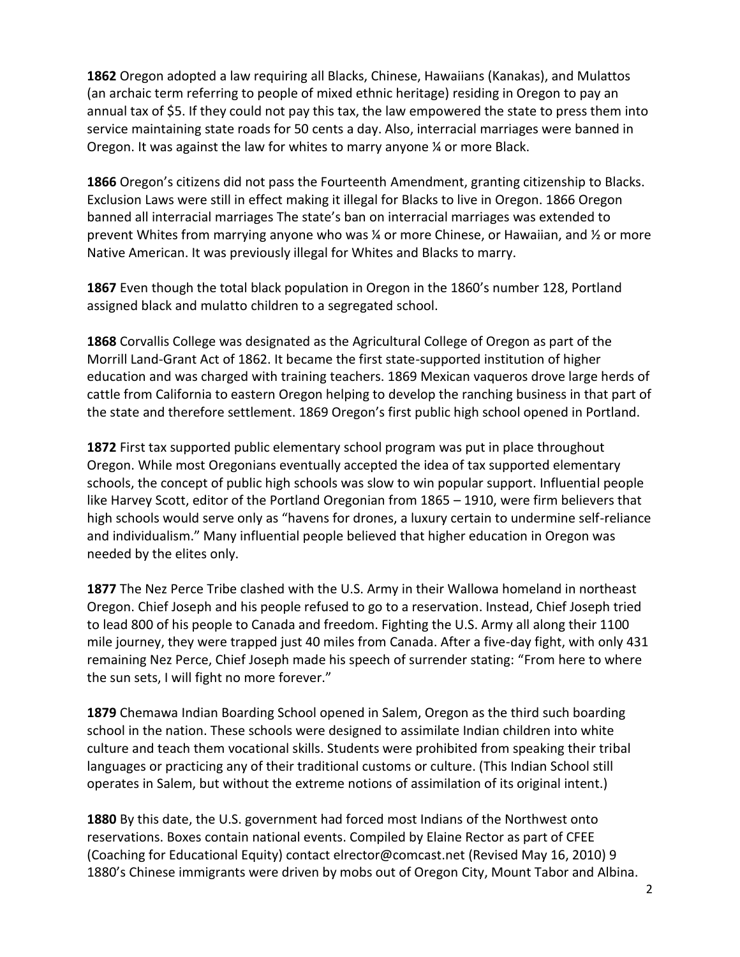**1862** Oregon adopted a law requiring all Blacks, Chinese, Hawaiians (Kanakas), and Mulattos (an archaic term referring to people of mixed ethnic heritage) residing in Oregon to pay an annual tax of \$5. If they could not pay this tax, the law empowered the state to press them into service maintaining state roads for 50 cents a day. Also, interracial marriages were banned in Oregon. It was against the law for whites to marry anyone ¼ or more Black.

**1866** Oregon's citizens did not pass the Fourteenth Amendment, granting citizenship to Blacks. Exclusion Laws were still in effect making it illegal for Blacks to live in Oregon. 1866 Oregon banned all interracial marriages The state's ban on interracial marriages was extended to prevent Whites from marrying anyone who was ¼ or more Chinese, or Hawaiian, and ½ or more Native American. It was previously illegal for Whites and Blacks to marry.

**1867** Even though the total black population in Oregon in the 1860's number 128, Portland assigned black and mulatto children to a segregated school.

**1868** Corvallis College was designated as the Agricultural College of Oregon as part of the Morrill Land-Grant Act of 1862. It became the first state-supported institution of higher education and was charged with training teachers. 1869 Mexican vaqueros drove large herds of cattle from California to eastern Oregon helping to develop the ranching business in that part of the state and therefore settlement. 1869 Oregon's first public high school opened in Portland.

**1872** First tax supported public elementary school program was put in place throughout Oregon. While most Oregonians eventually accepted the idea of tax supported elementary schools, the concept of public high schools was slow to win popular support. Influential people like Harvey Scott, editor of the Portland Oregonian from 1865 – 1910, were firm believers that high schools would serve only as "havens for drones, a luxury certain to undermine self-reliance and individualism." Many influential people believed that higher education in Oregon was needed by the elites only.

**1877** The Nez Perce Tribe clashed with the U.S. Army in their Wallowa homeland in northeast Oregon. Chief Joseph and his people refused to go to a reservation. Instead, Chief Joseph tried to lead 800 of his people to Canada and freedom. Fighting the U.S. Army all along their 1100 mile journey, they were trapped just 40 miles from Canada. After a five-day fight, with only 431 remaining Nez Perce, Chief Joseph made his speech of surrender stating: "From here to where the sun sets, I will fight no more forever."

**1879** Chemawa Indian Boarding School opened in Salem, Oregon as the third such boarding school in the nation. These schools were designed to assimilate Indian children into white culture and teach them vocational skills. Students were prohibited from speaking their tribal languages or practicing any of their traditional customs or culture. (This Indian School still operates in Salem, but without the extreme notions of assimilation of its original intent.)

**1880** By this date, the U.S. government had forced most Indians of the Northwest onto reservations. Boxes contain national events. Compiled by Elaine Rector as part of CFEE (Coaching for Educational Equity) contact elrector@comcast.net (Revised May 16, 2010) 9 1880's Chinese immigrants were driven by mobs out of Oregon City, Mount Tabor and Albina.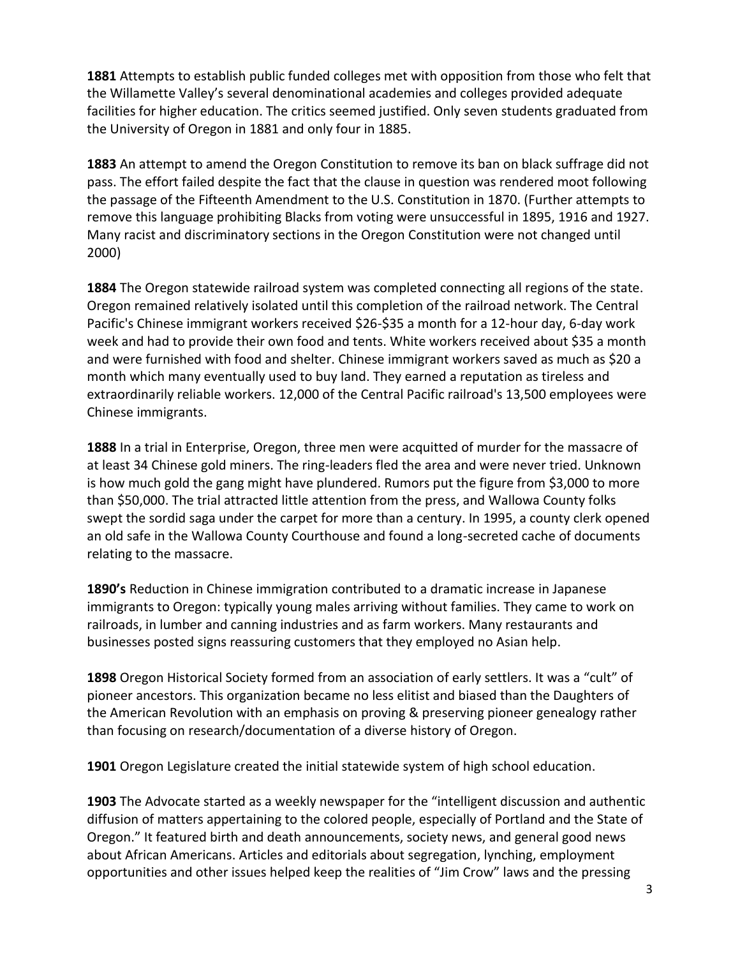**1881** Attempts to establish public funded colleges met with opposition from those who felt that the Willamette Valley's several denominational academies and colleges provided adequate facilities for higher education. The critics seemed justified. Only seven students graduated from the University of Oregon in 1881 and only four in 1885.

**1883** An attempt to amend the Oregon Constitution to remove its ban on black suffrage did not pass. The effort failed despite the fact that the clause in question was rendered moot following the passage of the Fifteenth Amendment to the U.S. Constitution in 1870. (Further attempts to remove this language prohibiting Blacks from voting were unsuccessful in 1895, 1916 and 1927. Many racist and discriminatory sections in the Oregon Constitution were not changed until 2000)

**1884** The Oregon statewide railroad system was completed connecting all regions of the state. Oregon remained relatively isolated until this completion of the railroad network. The Central Pacific's Chinese immigrant workers received \$26-\$35 a month for a 12-hour day, 6-day work week and had to provide their own food and tents. White workers received about \$35 a month and were furnished with food and shelter. Chinese immigrant workers saved as much as \$20 a month which many eventually used to buy land. They earned a reputation as tireless and extraordinarily reliable workers. 12,000 of the Central Pacific railroad's 13,500 employees were Chinese immigrants.

**1888** In a trial in Enterprise, Oregon, three men were acquitted of murder for the massacre of at least 34 Chinese gold miners. The ring-leaders fled the area and were never tried. Unknown is how much gold the gang might have plundered. Rumors put the figure from \$3,000 to more than \$50,000. The trial attracted little attention from the press, and Wallowa County folks swept the sordid saga under the carpet for more than a century. In 1995, a county clerk opened an old safe in the Wallowa County Courthouse and found a long-secreted cache of documents relating to the massacre.

**1890's** Reduction in Chinese immigration contributed to a dramatic increase in Japanese immigrants to Oregon: typically young males arriving without families. They came to work on railroads, in lumber and canning industries and as farm workers. Many restaurants and businesses posted signs reassuring customers that they employed no Asian help.

**1898** Oregon Historical Society formed from an association of early settlers. It was a "cult" of pioneer ancestors. This organization became no less elitist and biased than the Daughters of the American Revolution with an emphasis on proving & preserving pioneer genealogy rather than focusing on research/documentation of a diverse history of Oregon.

**1901** Oregon Legislature created the initial statewide system of high school education.

**1903** The Advocate started as a weekly newspaper for the "intelligent discussion and authentic diffusion of matters appertaining to the colored people, especially of Portland and the State of Oregon." It featured birth and death announcements, society news, and general good news about African Americans. Articles and editorials about segregation, lynching, employment opportunities and other issues helped keep the realities of "Jim Crow" laws and the pressing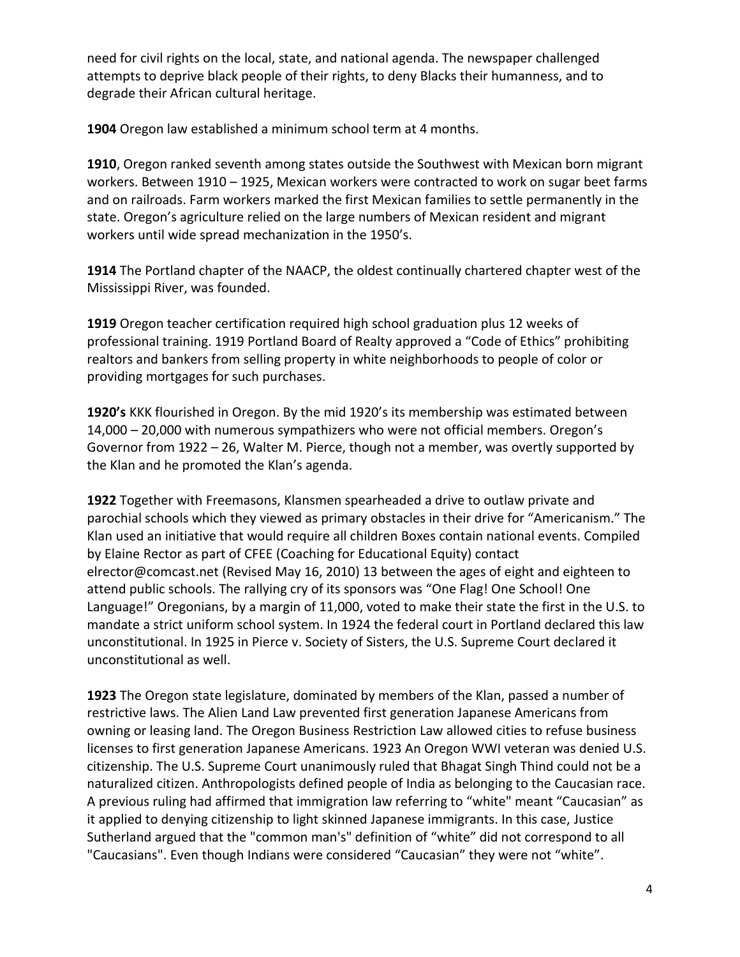need for civil rights on the local, state, and national agenda. The newspaper challenged attempts to deprive black people of their rights, to deny Blacks their humanness, and to degrade their African cultural heritage.

**1904** Oregon law established a minimum school term at 4 months.

**1910**, Oregon ranked seventh among states outside the Southwest with Mexican born migrant workers. Between 1910 – 1925, Mexican workers were contracted to work on sugar beet farms and on railroads. Farm workers marked the first Mexican families to settle permanently in the state. Oregon's agriculture relied on the large numbers of Mexican resident and migrant workers until wide spread mechanization in the 1950's.

**1914** The Portland chapter of the NAACP, the oldest continually chartered chapter west of the Mississippi River, was founded.

**1919** Oregon teacher certification required high school graduation plus 12 weeks of professional training. 1919 Portland Board of Realty approved a "Code of Ethics" prohibiting realtors and bankers from selling property in white neighborhoods to people of color or providing mortgages for such purchases.

**1920's** KKK flourished in Oregon. By the mid 1920's its membership was estimated between 14,000 – 20,000 with numerous sympathizers who were not official members. Oregon's Governor from 1922 – 26, Walter M. Pierce, though not a member, was overtly supported by the Klan and he promoted the Klan's agenda.

**1922** Together with Freemasons, Klansmen spearheaded a drive to outlaw private and parochial schools which they viewed as primary obstacles in their drive for "Americanism." The Klan used an initiative that would require all children Boxes contain national events. Compiled by Elaine Rector as part of CFEE (Coaching for Educational Equity) contact elrector@comcast.net (Revised May 16, 2010) 13 between the ages of eight and eighteen to attend public schools. The rallying cry of its sponsors was "One Flag! One School! One Language!" Oregonians, by a margin of 11,000, voted to make their state the first in the U.S. to mandate a strict uniform school system. In 1924 the federal court in Portland declared this law unconstitutional. In 1925 in Pierce v. Society of Sisters, the U.S. Supreme Court declared it unconstitutional as well.

**1923** The Oregon state legislature, dominated by members of the Klan, passed a number of restrictive laws. The Alien Land Law prevented first generation Japanese Americans from owning or leasing land. The Oregon Business Restriction Law allowed cities to refuse business licenses to first generation Japanese Americans. 1923 An Oregon WWI veteran was denied U.S. citizenship. The U.S. Supreme Court unanimously ruled that Bhagat Singh Thind could not be a naturalized citizen. Anthropologists defined people of India as belonging to the Caucasian race. A previous ruling had affirmed that immigration law referring to "white" meant "Caucasian" as it applied to denying citizenship to light skinned Japanese immigrants. In this case, Justice Sutherland argued that the "common man's" definition of "white" did not correspond to all "Caucasians". Even though Indians were considered "Caucasian" they were not "white".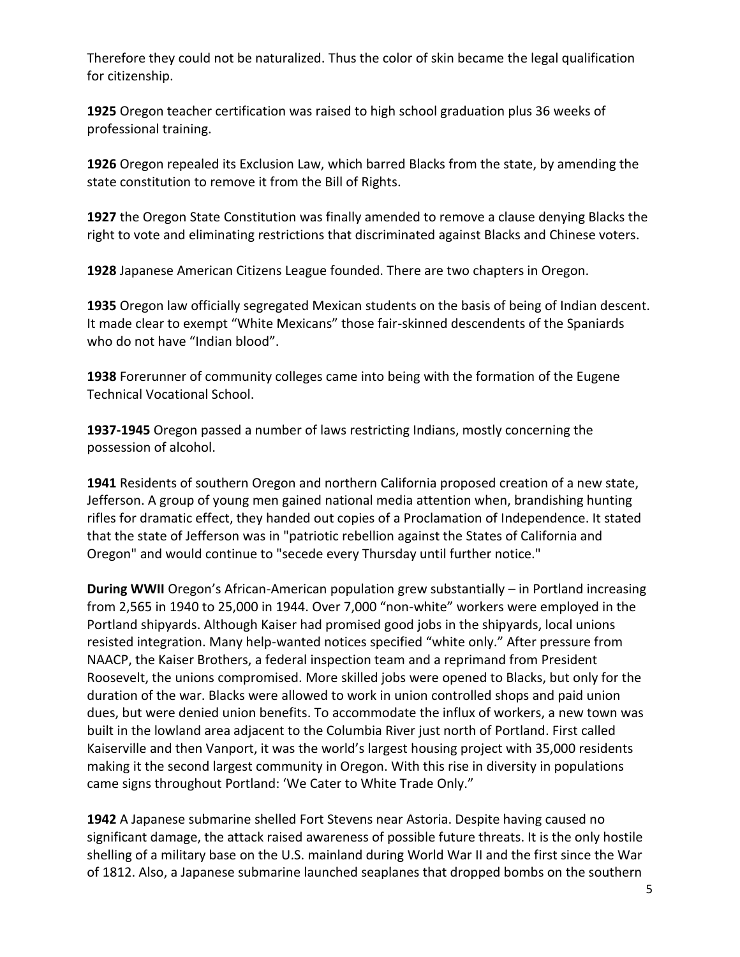Therefore they could not be naturalized. Thus the color of skin became the legal qualification for citizenship.

**1925** Oregon teacher certification was raised to high school graduation plus 36 weeks of professional training.

**1926** Oregon repealed its Exclusion Law, which barred Blacks from the state, by amending the state constitution to remove it from the Bill of Rights.

**1927** the Oregon State Constitution was finally amended to remove a clause denying Blacks the right to vote and eliminating restrictions that discriminated against Blacks and Chinese voters.

**1928** Japanese American Citizens League founded. There are two chapters in Oregon.

**1935** Oregon law officially segregated Mexican students on the basis of being of Indian descent. It made clear to exempt "White Mexicans" those fair-skinned descendents of the Spaniards who do not have "Indian blood".

**1938** Forerunner of community colleges came into being with the formation of the Eugene Technical Vocational School.

**1937-1945** Oregon passed a number of laws restricting Indians, mostly concerning the possession of alcohol.

**1941** Residents of southern Oregon and northern California proposed creation of a new state, Jefferson. A group of young men gained national media attention when, brandishing hunting rifles for dramatic effect, they handed out copies of a Proclamation of Independence. It stated that the state of Jefferson was in "patriotic rebellion against the States of California and Oregon" and would continue to "secede every Thursday until further notice."

**During WWII** Oregon's African-American population grew substantially – in Portland increasing from 2,565 in 1940 to 25,000 in 1944. Over 7,000 "non-white" workers were employed in the Portland shipyards. Although Kaiser had promised good jobs in the shipyards, local unions resisted integration. Many help-wanted notices specified "white only." After pressure from NAACP, the Kaiser Brothers, a federal inspection team and a reprimand from President Roosevelt, the unions compromised. More skilled jobs were opened to Blacks, but only for the duration of the war. Blacks were allowed to work in union controlled shops and paid union dues, but were denied union benefits. To accommodate the influx of workers, a new town was built in the lowland area adjacent to the Columbia River just north of Portland. First called Kaiserville and then Vanport, it was the world's largest housing project with 35,000 residents making it the second largest community in Oregon. With this rise in diversity in populations came signs throughout Portland: 'We Cater to White Trade Only."

**1942** A Japanese submarine shelled Fort Stevens near Astoria. Despite having caused no significant damage, the attack raised awareness of possible future threats. It is the only hostile shelling of a military base on the U.S. mainland during World War II and the first since the War of 1812. Also, a Japanese submarine launched seaplanes that dropped bombs on the southern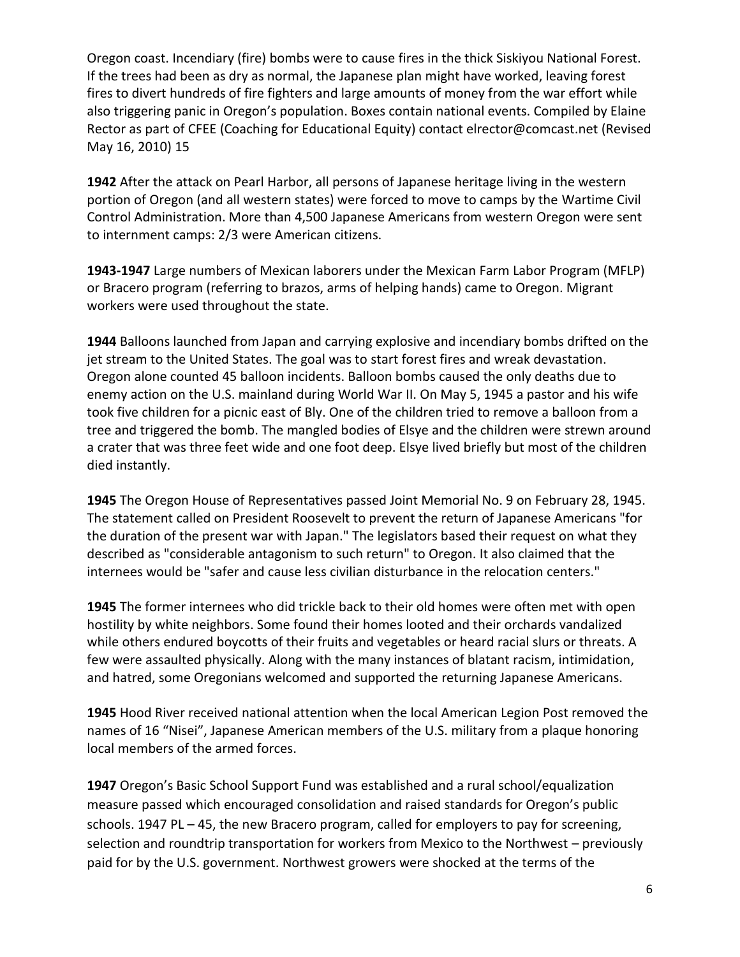Oregon coast. Incendiary (fire) bombs were to cause fires in the thick Siskiyou National Forest. If the trees had been as dry as normal, the Japanese plan might have worked, leaving forest fires to divert hundreds of fire fighters and large amounts of money from the war effort while also triggering panic in Oregon's population. Boxes contain national events. Compiled by Elaine Rector as part of CFEE (Coaching for Educational Equity) contact elrector@comcast.net (Revised May 16, 2010) 15

**1942** After the attack on Pearl Harbor, all persons of Japanese heritage living in the western portion of Oregon (and all western states) were forced to move to camps by the Wartime Civil Control Administration. More than 4,500 Japanese Americans from western Oregon were sent to internment camps: 2/3 were American citizens.

**1943-1947** Large numbers of Mexican laborers under the Mexican Farm Labor Program (MFLP) or Bracero program (referring to brazos, arms of helping hands) came to Oregon. Migrant workers were used throughout the state.

**1944** Balloons launched from Japan and carrying explosive and incendiary bombs drifted on the jet stream to the United States. The goal was to start forest fires and wreak devastation. Oregon alone counted 45 balloon incidents. Balloon bombs caused the only deaths due to enemy action on the U.S. mainland during World War II. On May 5, 1945 a pastor and his wife took five children for a picnic east of Bly. One of the children tried to remove a balloon from a tree and triggered the bomb. The mangled bodies of Elsye and the children were strewn around a crater that was three feet wide and one foot deep. Elsye lived briefly but most of the children died instantly.

**1945** The Oregon House of Representatives passed Joint Memorial No. 9 on February 28, 1945. The statement called on President Roosevelt to prevent the return of Japanese Americans "for the duration of the present war with Japan." The legislators based their request on what they described as "considerable antagonism to such return" to Oregon. It also claimed that the internees would be "safer and cause less civilian disturbance in the relocation centers."

**1945** The former internees who did trickle back to their old homes were often met with open hostility by white neighbors. Some found their homes looted and their orchards vandalized while others endured boycotts of their fruits and vegetables or heard racial slurs or threats. A few were assaulted physically. Along with the many instances of blatant racism, intimidation, and hatred, some Oregonians welcomed and supported the returning Japanese Americans.

**1945** Hood River received national attention when the local American Legion Post removed the names of 16 "Nisei", Japanese American members of the U.S. military from a plaque honoring local members of the armed forces.

**1947** Oregon's Basic School Support Fund was established and a rural school/equalization measure passed which encouraged consolidation and raised standards for Oregon's public schools. 1947 PL – 45, the new Bracero program, called for employers to pay for screening, selection and roundtrip transportation for workers from Mexico to the Northwest – previously paid for by the U.S. government. Northwest growers were shocked at the terms of the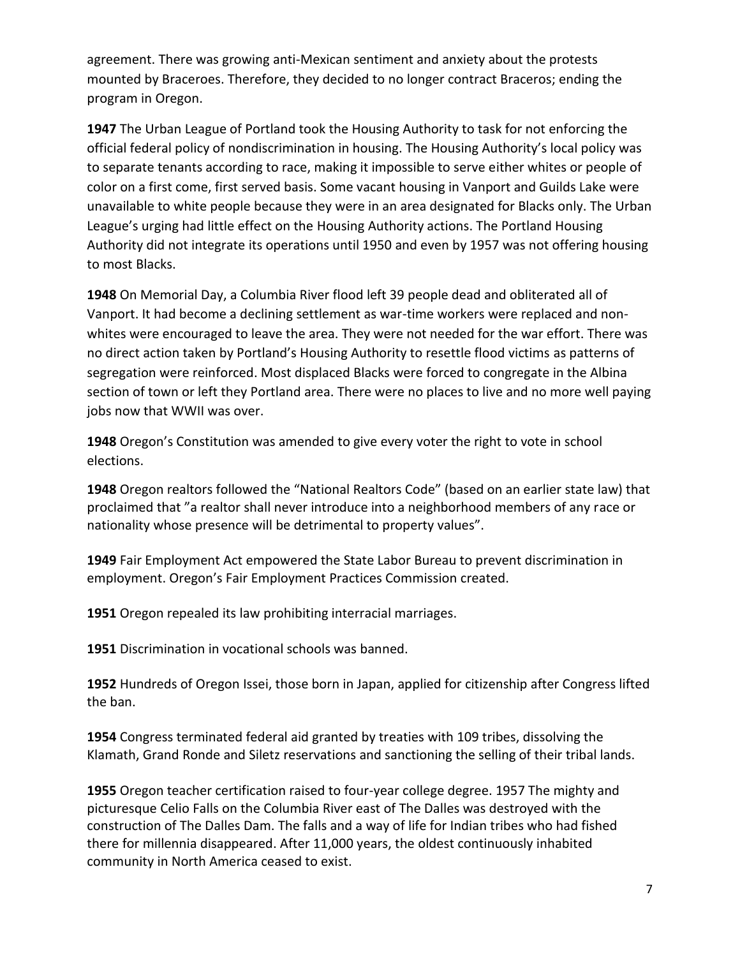agreement. There was growing anti-Mexican sentiment and anxiety about the protests mounted by Braceroes. Therefore, they decided to no longer contract Braceros; ending the program in Oregon.

**1947** The Urban League of Portland took the Housing Authority to task for not enforcing the official federal policy of nondiscrimination in housing. The Housing Authority's local policy was to separate tenants according to race, making it impossible to serve either whites or people of color on a first come, first served basis. Some vacant housing in Vanport and Guilds Lake were unavailable to white people because they were in an area designated for Blacks only. The Urban League's urging had little effect on the Housing Authority actions. The Portland Housing Authority did not integrate its operations until 1950 and even by 1957 was not offering housing to most Blacks.

**1948** On Memorial Day, a Columbia River flood left 39 people dead and obliterated all of Vanport. It had become a declining settlement as war-time workers were replaced and nonwhites were encouraged to leave the area. They were not needed for the war effort. There was no direct action taken by Portland's Housing Authority to resettle flood victims as patterns of segregation were reinforced. Most displaced Blacks were forced to congregate in the Albina section of town or left they Portland area. There were no places to live and no more well paying jobs now that WWII was over.

**1948** Oregon's Constitution was amended to give every voter the right to vote in school elections.

**1948** Oregon realtors followed the "National Realtors Code" (based on an earlier state law) that proclaimed that "a realtor shall never introduce into a neighborhood members of any race or nationality whose presence will be detrimental to property values".

**1949** Fair Employment Act empowered the State Labor Bureau to prevent discrimination in employment. Oregon's Fair Employment Practices Commission created.

**1951** Oregon repealed its law prohibiting interracial marriages.

**1951** Discrimination in vocational schools was banned.

**1952** Hundreds of Oregon Issei, those born in Japan, applied for citizenship after Congress lifted the ban.

**1954** Congress terminated federal aid granted by treaties with 109 tribes, dissolving the Klamath, Grand Ronde and Siletz reservations and sanctioning the selling of their tribal lands.

**1955** Oregon teacher certification raised to four-year college degree. 1957 The mighty and picturesque Celio Falls on the Columbia River east of The Dalles was destroyed with the construction of The Dalles Dam. The falls and a way of life for Indian tribes who had fished there for millennia disappeared. After 11,000 years, the oldest continuously inhabited community in North America ceased to exist.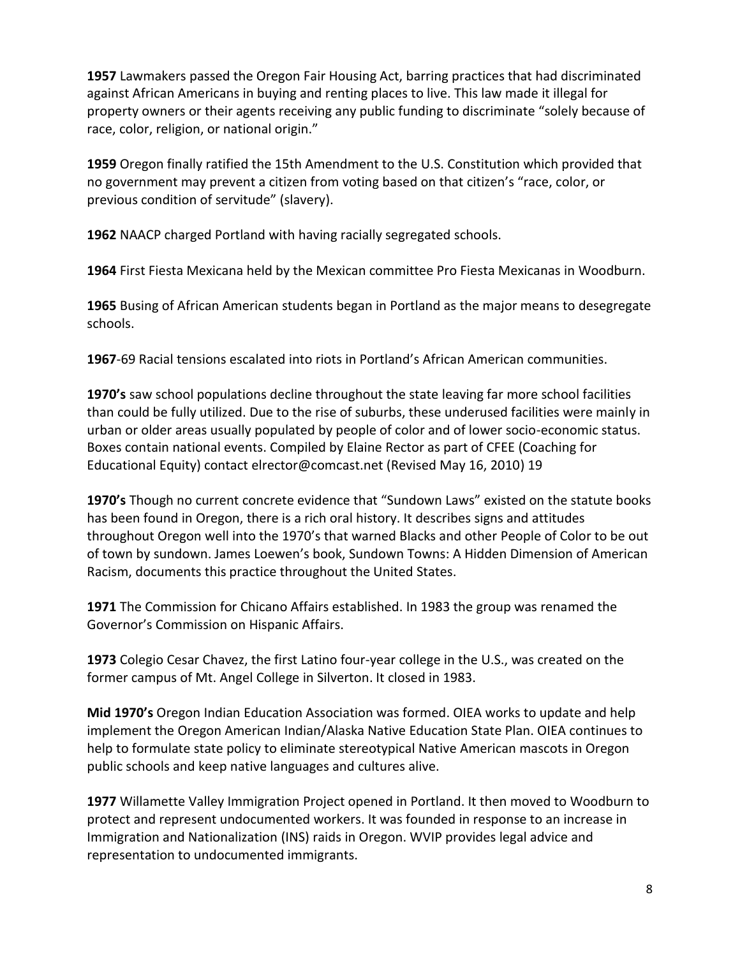**1957** Lawmakers passed the Oregon Fair Housing Act, barring practices that had discriminated against African Americans in buying and renting places to live. This law made it illegal for property owners or their agents receiving any public funding to discriminate "solely because of race, color, religion, or national origin."

**1959** Oregon finally ratified the 15th Amendment to the U.S. Constitution which provided that no government may prevent a citizen from voting based on that citizen's "race, color, or previous condition of servitude" (slavery).

**1962** NAACP charged Portland with having racially segregated schools.

**1964** First Fiesta Mexicana held by the Mexican committee Pro Fiesta Mexicanas in Woodburn.

**1965** Busing of African American students began in Portland as the major means to desegregate schools.

**1967**-69 Racial tensions escalated into riots in Portland's African American communities.

**1970's** saw school populations decline throughout the state leaving far more school facilities than could be fully utilized. Due to the rise of suburbs, these underused facilities were mainly in urban or older areas usually populated by people of color and of lower socio-economic status. Boxes contain national events. Compiled by Elaine Rector as part of CFEE (Coaching for Educational Equity) contact elrector@comcast.net (Revised May 16, 2010) 19

**1970's** Though no current concrete evidence that "Sundown Laws" existed on the statute books has been found in Oregon, there is a rich oral history. It describes signs and attitudes throughout Oregon well into the 1970's that warned Blacks and other People of Color to be out of town by sundown. James Loewen's book, Sundown Towns: A Hidden Dimension of American Racism, documents this practice throughout the United States.

**1971** The Commission for Chicano Affairs established. In 1983 the group was renamed the Governor's Commission on Hispanic Affairs.

**1973** Colegio Cesar Chavez, the first Latino four-year college in the U.S., was created on the former campus of Mt. Angel College in Silverton. It closed in 1983.

**Mid 1970's** Oregon Indian Education Association was formed. OIEA works to update and help implement the Oregon American Indian/Alaska Native Education State Plan. OIEA continues to help to formulate state policy to eliminate stereotypical Native American mascots in Oregon public schools and keep native languages and cultures alive.

**1977** Willamette Valley Immigration Project opened in Portland. It then moved to Woodburn to protect and represent undocumented workers. It was founded in response to an increase in Immigration and Nationalization (INS) raids in Oregon. WVIP provides legal advice and representation to undocumented immigrants.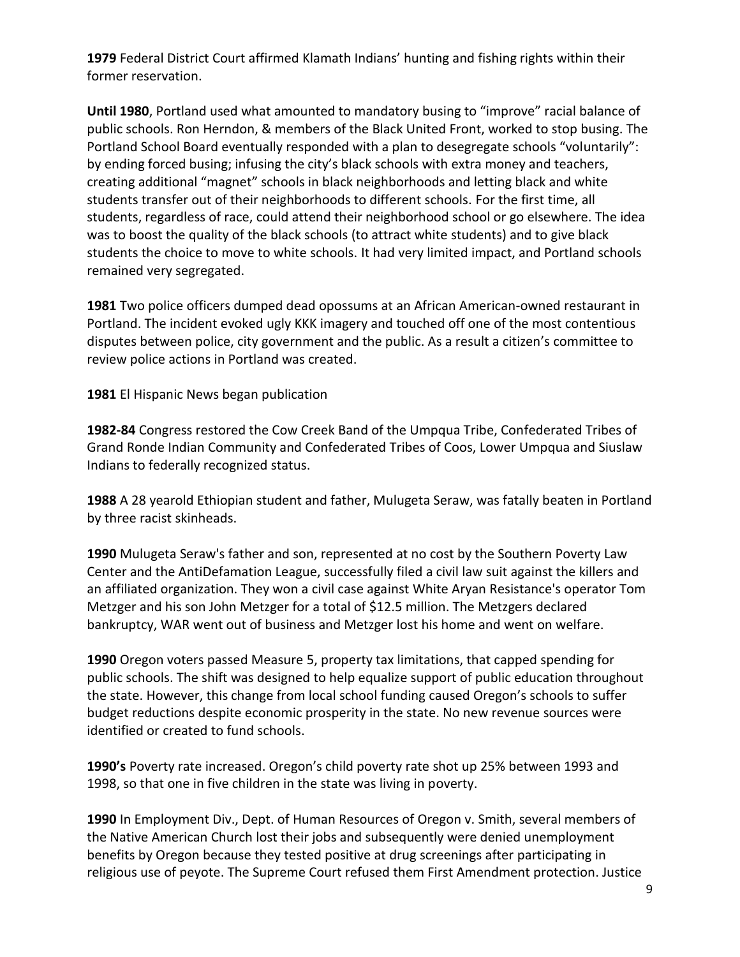**1979** Federal District Court affirmed Klamath Indians' hunting and fishing rights within their former reservation.

**Until 1980**, Portland used what amounted to mandatory busing to "improve" racial balance of public schools. Ron Herndon, & members of the Black United Front, worked to stop busing. The Portland School Board eventually responded with a plan to desegregate schools "voluntarily": by ending forced busing; infusing the city's black schools with extra money and teachers, creating additional "magnet" schools in black neighborhoods and letting black and white students transfer out of their neighborhoods to different schools. For the first time, all students, regardless of race, could attend their neighborhood school or go elsewhere. The idea was to boost the quality of the black schools (to attract white students) and to give black students the choice to move to white schools. It had very limited impact, and Portland schools remained very segregated.

**1981** Two police officers dumped dead opossums at an African American-owned restaurant in Portland. The incident evoked ugly KKK imagery and touched off one of the most contentious disputes between police, city government and the public. As a result a citizen's committee to review police actions in Portland was created.

**1981** El Hispanic News began publication

**1982-84** Congress restored the Cow Creek Band of the Umpqua Tribe, Confederated Tribes of Grand Ronde Indian Community and Confederated Tribes of Coos, Lower Umpqua and Siuslaw Indians to federally recognized status.

**1988** A 28 yearold Ethiopian student and father, Mulugeta Seraw, was fatally beaten in Portland by three racist skinheads.

**1990** Mulugeta Seraw's father and son, represented at no cost by the Southern Poverty Law Center and the AntiDefamation League, successfully filed a civil law suit against the killers and an affiliated organization. They won a civil case against White Aryan Resistance's operator Tom Metzger and his son John Metzger for a total of \$12.5 million. The Metzgers declared bankruptcy, WAR went out of business and Metzger lost his home and went on welfare.

**1990** Oregon voters passed Measure 5, property tax limitations, that capped spending for public schools. The shift was designed to help equalize support of public education throughout the state. However, this change from local school funding caused Oregon's schools to suffer budget reductions despite economic prosperity in the state. No new revenue sources were identified or created to fund schools.

**1990's** Poverty rate increased. Oregon's child poverty rate shot up 25% between 1993 and 1998, so that one in five children in the state was living in poverty.

**1990** In Employment Div., Dept. of Human Resources of Oregon v. Smith, several members of the Native American Church lost their jobs and subsequently were denied unemployment benefits by Oregon because they tested positive at drug screenings after participating in religious use of peyote. The Supreme Court refused them First Amendment protection. Justice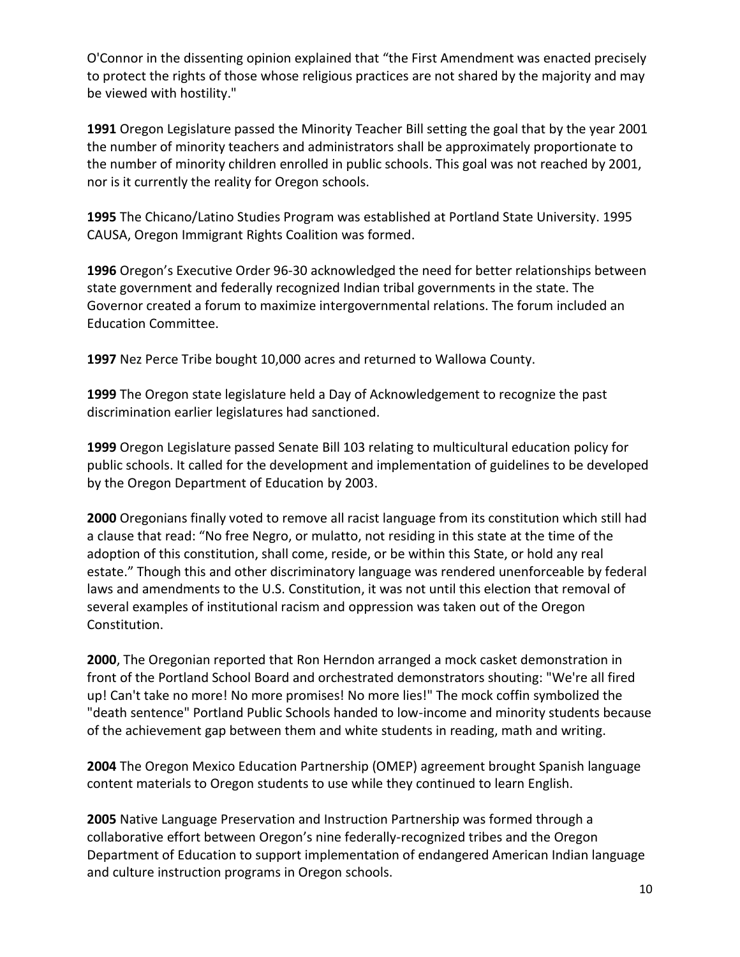O'Connor in the dissenting opinion explained that "the First Amendment was enacted precisely to protect the rights of those whose religious practices are not shared by the majority and may be viewed with hostility."

**1991** Oregon Legislature passed the Minority Teacher Bill setting the goal that by the year 2001 the number of minority teachers and administrators shall be approximately proportionate to the number of minority children enrolled in public schools. This goal was not reached by 2001, nor is it currently the reality for Oregon schools.

**1995** The Chicano/Latino Studies Program was established at Portland State University. 1995 CAUSA, Oregon Immigrant Rights Coalition was formed.

**1996** Oregon's Executive Order 96-30 acknowledged the need for better relationships between state government and federally recognized Indian tribal governments in the state. The Governor created a forum to maximize intergovernmental relations. The forum included an Education Committee.

**1997** Nez Perce Tribe bought 10,000 acres and returned to Wallowa County.

**1999** The Oregon state legislature held a Day of Acknowledgement to recognize the past discrimination earlier legislatures had sanctioned.

**1999** Oregon Legislature passed Senate Bill 103 relating to multicultural education policy for public schools. It called for the development and implementation of guidelines to be developed by the Oregon Department of Education by 2003.

**2000** Oregonians finally voted to remove all racist language from its constitution which still had a clause that read: "No free Negro, or mulatto, not residing in this state at the time of the adoption of this constitution, shall come, reside, or be within this State, or hold any real estate." Though this and other discriminatory language was rendered unenforceable by federal laws and amendments to the U.S. Constitution, it was not until this election that removal of several examples of institutional racism and oppression was taken out of the Oregon Constitution.

**2000**, The Oregonian reported that Ron Herndon arranged a mock casket demonstration in front of the Portland School Board and orchestrated demonstrators shouting: "We're all fired up! Can't take no more! No more promises! No more lies!" The mock coffin symbolized the "death sentence" Portland Public Schools handed to low-income and minority students because of the achievement gap between them and white students in reading, math and writing.

**2004** The Oregon Mexico Education Partnership (OMEP) agreement brought Spanish language content materials to Oregon students to use while they continued to learn English.

**2005** Native Language Preservation and Instruction Partnership was formed through a collaborative effort between Oregon's nine federally-recognized tribes and the Oregon Department of Education to support implementation of endangered American Indian language and culture instruction programs in Oregon schools.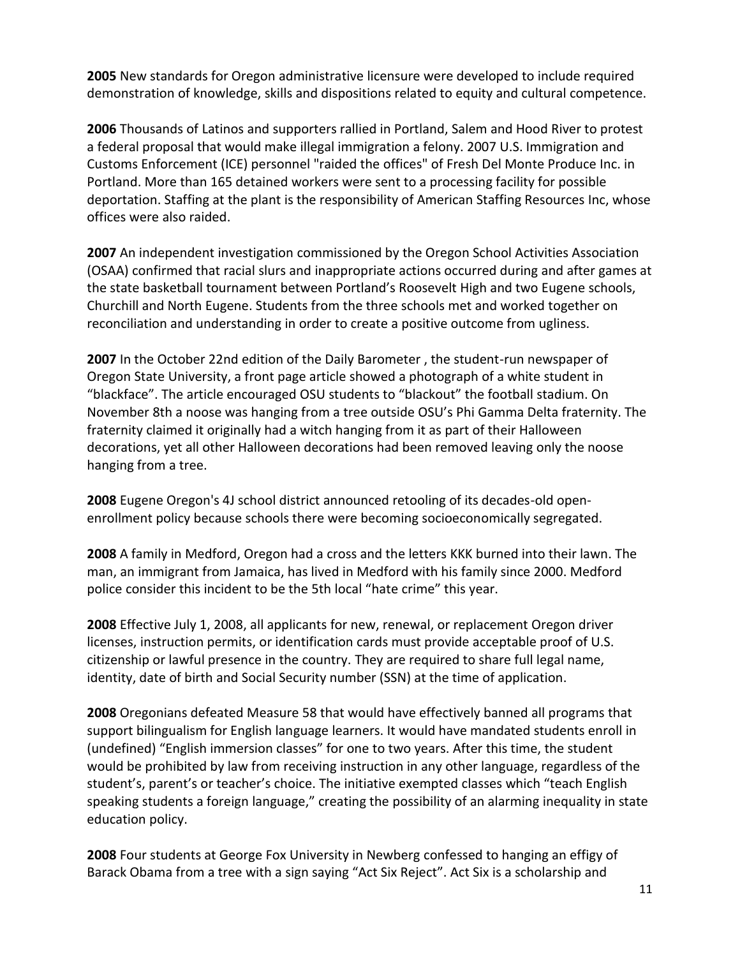**2005** New standards for Oregon administrative licensure were developed to include required demonstration of knowledge, skills and dispositions related to equity and cultural competence.

**2006** Thousands of Latinos and supporters rallied in Portland, Salem and Hood River to protest a federal proposal that would make illegal immigration a felony. 2007 U.S. Immigration and Customs Enforcement (ICE) personnel "raided the offices" of Fresh Del Monte Produce Inc. in Portland. More than 165 detained workers were sent to a processing facility for possible deportation. Staffing at the plant is the responsibility of American Staffing Resources Inc, whose offices were also raided.

**2007** An independent investigation commissioned by the Oregon School Activities Association (OSAA) confirmed that racial slurs and inappropriate actions occurred during and after games at the state basketball tournament between Portland's Roosevelt High and two Eugene schools, Churchill and North Eugene. Students from the three schools met and worked together on reconciliation and understanding in order to create a positive outcome from ugliness.

**2007** In the October 22nd edition of the Daily Barometer , the student-run newspaper of Oregon State University, a front page article showed a photograph of a white student in "blackface". The article encouraged OSU students to "blackout" the football stadium. On November 8th a noose was hanging from a tree outside OSU's Phi Gamma Delta fraternity. The fraternity claimed it originally had a witch hanging from it as part of their Halloween decorations, yet all other Halloween decorations had been removed leaving only the noose hanging from a tree.

**2008** Eugene Oregon's 4J school district announced retooling of its decades-old openenrollment policy because schools there were becoming socioeconomically segregated.

**2008** A family in Medford, Oregon had a cross and the letters KKK burned into their lawn. The man, an immigrant from Jamaica, has lived in Medford with his family since 2000. Medford police consider this incident to be the 5th local "hate crime" this year.

**2008** Effective July 1, 2008, all applicants for new, renewal, or replacement Oregon driver licenses, instruction permits, or identification cards must provide acceptable proof of U.S. citizenship or lawful presence in the country. They are required to share full legal name, identity, date of birth and Social Security number (SSN) at the time of application.

**2008** Oregonians defeated Measure 58 that would have effectively banned all programs that support bilingualism for English language learners. It would have mandated students enroll in (undefined) "English immersion classes" for one to two years. After this time, the student would be prohibited by law from receiving instruction in any other language, regardless of the student's, parent's or teacher's choice. The initiative exempted classes which "teach English speaking students a foreign language," creating the possibility of an alarming inequality in state education policy.

**2008** Four students at George Fox University in Newberg confessed to hanging an effigy of Barack Obama from a tree with a sign saying "Act Six Reject". Act Six is a scholarship and